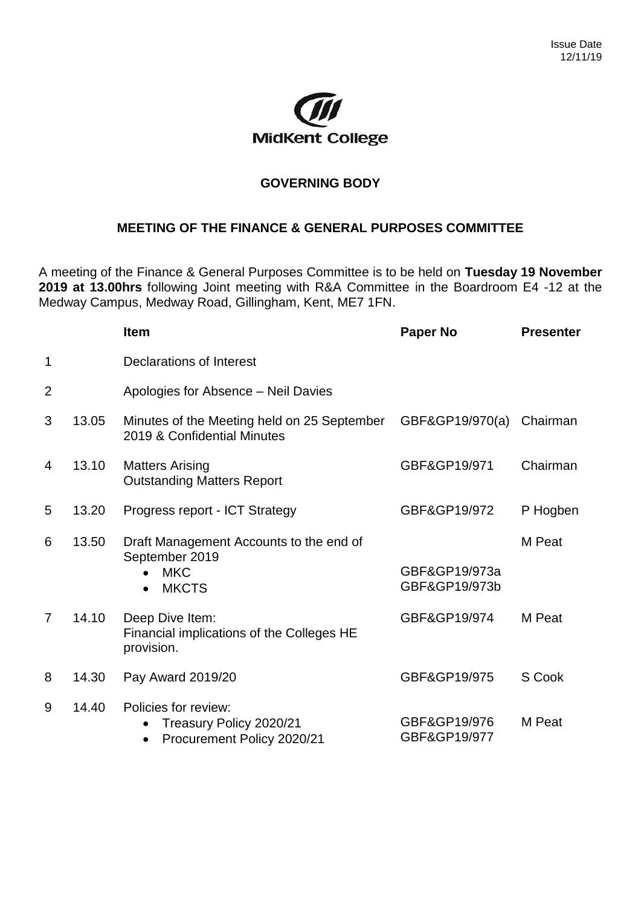

## **GOVERNING BODY**

## **MEETING OF THE FINANCE & GENERAL PURPOSES COMMITTEE**

A meeting of the Finance & General Purposes Committee is to be held on **Tuesday 19 November 2019 at 13.00hrs** following Joint meeting with R&A Committee in the Boardroom E4 -12 at the Medway Campus, Medway Road, Gillingham, Kent, ME7 1FN.

|                |       | <b>Item</b>                                                                                          | Paper No                       | <b>Presenter</b> |
|----------------|-------|------------------------------------------------------------------------------------------------------|--------------------------------|------------------|
| 1              |       | Declarations of Interest                                                                             |                                |                  |
| $\overline{2}$ |       | Apologies for Absence - Neil Davies                                                                  |                                |                  |
| 3              | 13.05 | Minutes of the Meeting held on 25 September<br>2019 & Confidential Minutes                           | GBF&GP19/970(a)                | Chairman         |
| 4              | 13.10 | <b>Matters Arising</b><br><b>Outstanding Matters Report</b>                                          | GBF&GP19/971                   | Chairman         |
| 5              | 13.20 | Progress report - ICT Strategy                                                                       | GBF&GP19/972                   | P Hogben         |
| 6              | 13.50 | Draft Management Accounts to the end of<br>September 2019<br><b>MKC</b><br><b>MKCTS</b><br>$\bullet$ | GBF&GP19/973a<br>GBF&GP19/973b | M Peat           |
| $\overline{7}$ | 14.10 | Deep Dive Item:<br>Financial implications of the Colleges HE<br>provision.                           | GBF&GP19/974                   | M Peat           |
| 8              | 14.30 | Pay Award 2019/20                                                                                    | GBF&GP19/975                   | S Cook           |
| 9              | 14.40 | Policies for review:<br>Treasury Policy 2020/21<br>Procurement Policy 2020/21                        | GBF&GP19/976<br>GBF&GP19/977   | M Peat           |